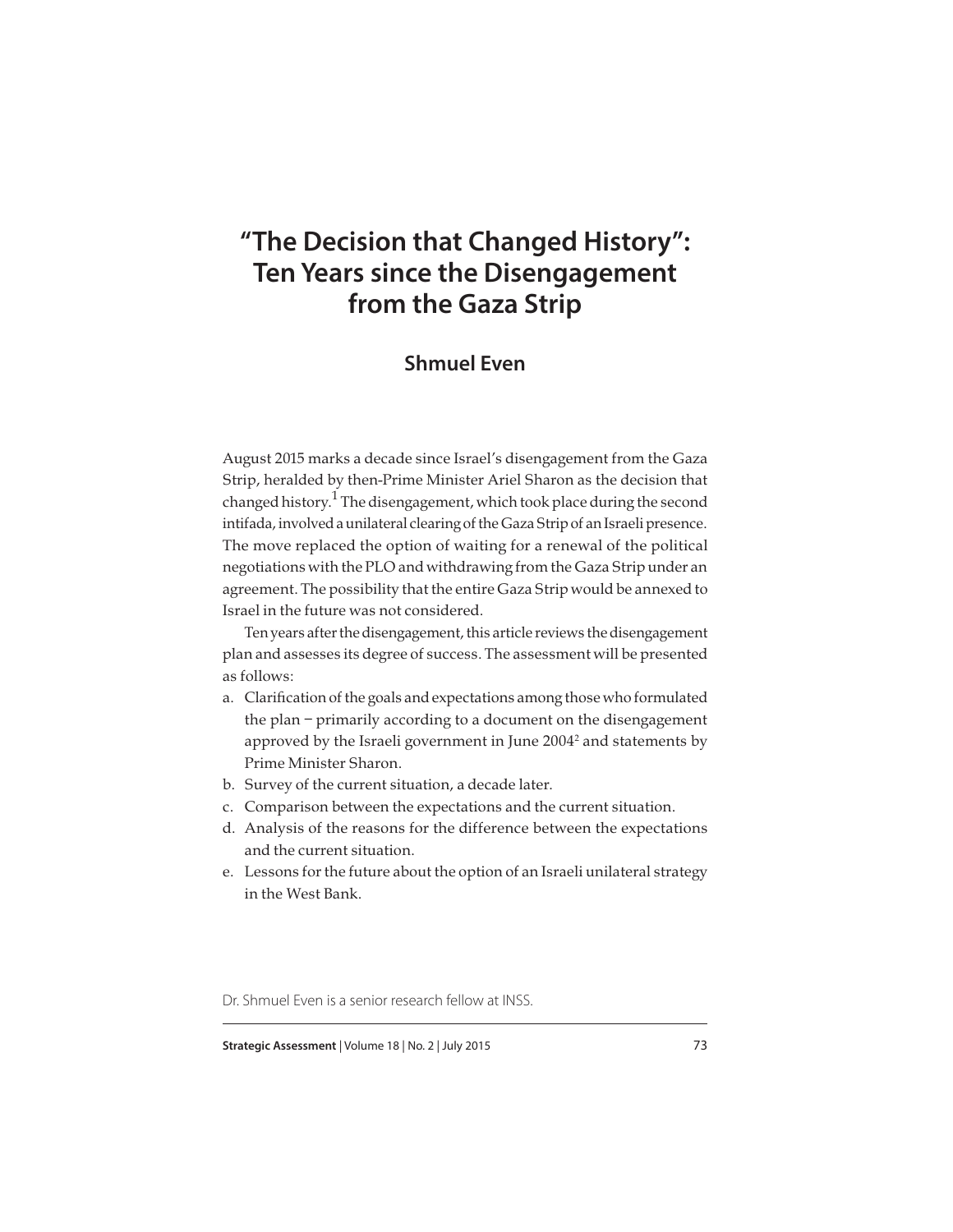# **"The Decision that Changed History": Ten Years since the Disengagement from the Gaza Strip**

# **Shmuel Even**

August 2015 marks a decade since Israel's disengagement from the Gaza Strip, heralded by then-Prime Minister Ariel Sharon as the decision that changed history. $^{\rm 1}$  The disengagement, which took place during the second intifada, involved a unilateral clearing of the Gaza Strip of an Israeli presence. The move replaced the option of waiting for a renewal of the political negotiations with the PLO and withdrawing from the Gaza Strip under an agreement. The possibility that the entire Gaza Strip would be annexed to Israel in the future was not considered.

Ten years after the disengagement, this article reviews the disengagement plan and assesses its degree of success. The assessment will be presented as follows:

- a. Clarification of the goals and expectations among those who formulated the plan – primarily according to a document on the disengagement approved by the Israeli government in June 2004 $^2$  and statements by Prime Minister Sharon.
- b. Survey of the current situation, a decade later.
- c. Comparison between the expectations and the current situation.
- d. Analysis of the reasons for the difference between the expectations and the current situation.
- e. Lessons for the future about the option of an Israeli unilateral strategy in the West Bank.

Dr. Shmuel Even is a senior research fellow at INSS.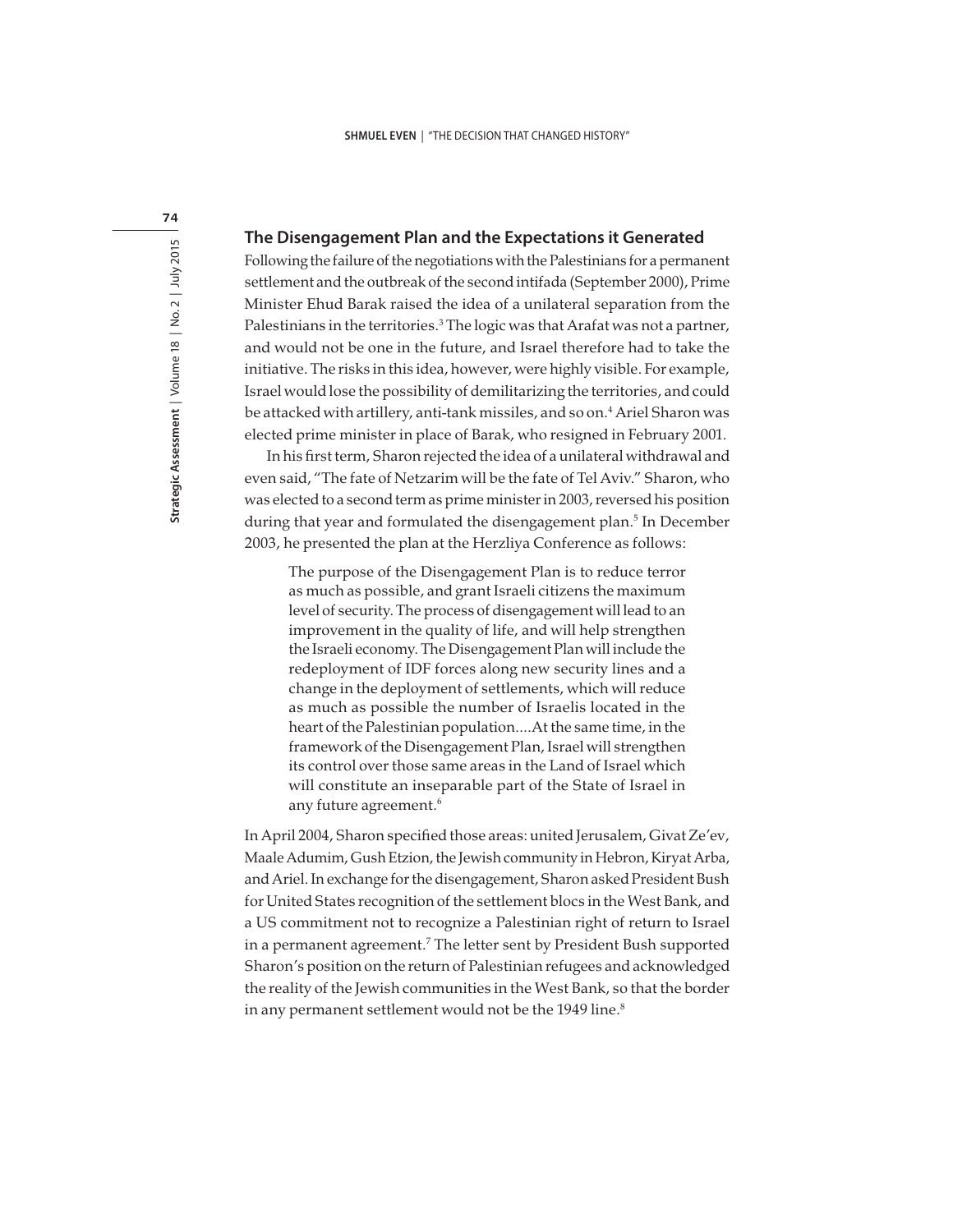74

#### **The Disengagement Plan and the Expectations it Generated**

Following the failure of the negotiations with the Palestinians for a permanent settlement and the outbreak of the second intifada (September 2000), Prime Minister Ehud Barak raised the idea of a unilateral separation from the Palestinians in the territories.<sup>3</sup> The logic was that Arafat was not a partner, and would not be one in the future, and Israel therefore had to take the initiative. The risks in this idea, however, were highly visible. For example, Israel would lose the possibility of demilitarizing the territories, and could be attacked with artillery, anti-tank missiles, and so on.<sup>4</sup> Ariel Sharon was elected prime minister in place of Barak, who resigned in February 2001.

In his first term, Sharon rejected the idea of a unilateral withdrawal and even said, "The fate of Netzarim will be the fate of Tel Aviv." Sharon, who was elected to a second term as prime minister in 2003, reversed his position during that year and formulated the disengagement plan.<sup>5</sup> In December 2003, he presented the plan at the Herzliya Conference as follows:

The purpose of the Disengagement Plan is to reduce terror as much as possible, and grant Israeli citizens the maximum level of security. The process of disengagement will lead to an improvement in the quality of life, and will help strengthen the Israeli economy. The Disengagement Plan will include the redeployment of IDF forces along new security lines and a change in the deployment of settlements, which will reduce as much as possible the number of Israelis located in the heart of the Palestinian population….At the same time, in the framework of the Disengagement Plan, Israel will strengthen its control over those same areas in the Land of Israel which will constitute an inseparable part of the State of Israel in any future agreement.<sup>6</sup>

In April 2004, Sharon specified those areas: united Jerusalem, Givat Ze'ev, Maale Adumim, Gush Etzion, the Jewish community in Hebron, Kiryat Arba, and Ariel. In exchange for the disengagement, Sharon asked President Bush for United States recognition of the settlement blocs in the West Bank, and a US commitment not to recognize a Palestinian right of return to Israel in a permanent agreement.<sup>7</sup> The letter sent by President Bush supported Sharon's position on the return of Palestinian refugees and acknowledged the reality of the Jewish communities in the West Bank, so that the border in any permanent settlement would not be the 1949 line.<sup>8</sup>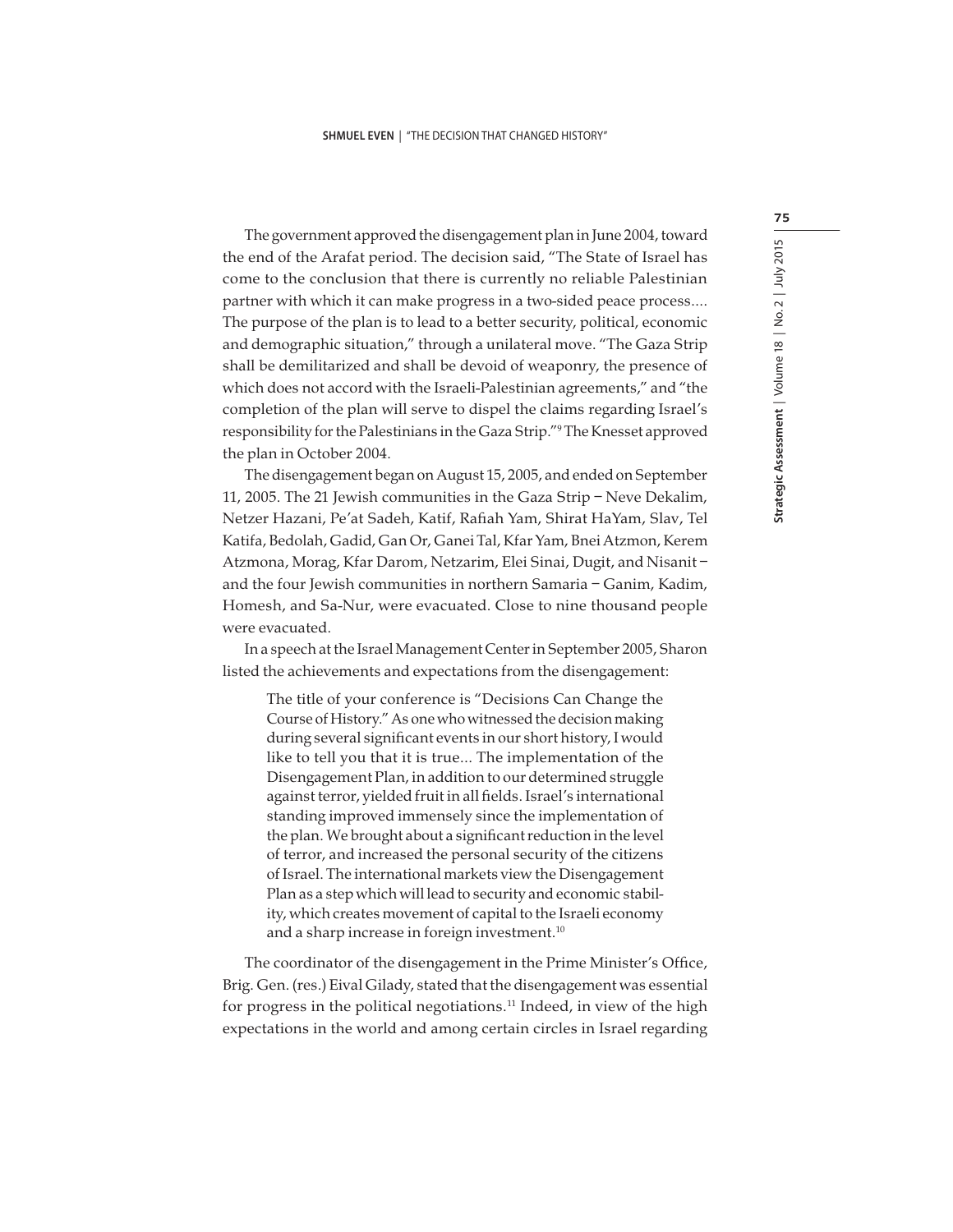The government approved the disengagement plan in June 2004, toward the end of the Arafat period. The decision said, "The State of Israel has come to the conclusion that there is currently no reliable Palestinian partner with which it can make progress in a two-sided peace process…. The purpose of the plan is to lead to a better security, political, economic and demographic situation," through a unilateral move. "The Gaza Strip shall be demilitarized and shall be devoid of weaponry, the presence of which does not accord with the Israeli-Palestinian agreements," and "the completion of the plan will serve to dispel the claims regarding Israel's responsibility for the Palestinians in the Gaza Strip."<sup>9</sup> The Knesset approved the plan in October 2004.

The disengagement began on August 15, 2005, and ended on September 11, 2005. The 21 Jewish communities in the Gaza Strip – Neve Dekalim, Netzer Hazani, Pe'at Sadeh, Katif, Rafiah Yam, Shirat HaYam, Slav, Tel Katifa, Bedolah, Gadid, Gan Or, Ganei Tal, Kfar Yam, Bnei Atzmon, Kerem Atzmona, Morag, Kfar Darom, Netzarim, Elei Sinai, Dugit, and Nisanit – and the four Jewish communities in northern Samaria – Ganim, Kadim, Homesh, and Sa-Nur, were evacuated. Close to nine thousand people were evacuated.

In a speech at the Israel Management Center in September 2005, Sharon listed the achievements and expectations from the disengagement:

The title of your conference is "Decisions Can Change the Course of History." As one who witnessed the decision making during several significant events in our short history, I would like to tell you that it is true… The implementation of the Disengagement Plan, in addition to our determined struggle against terror, yielded fruit in all fields. Israel's international standing improved immensely since the implementation of the plan. We brought about a significant reduction in the level of terror, and increased the personal security of the citizens of Israel. The international markets view the Disengagement Plan as a step which will lead to security and economic stability, which creates movement of capital to the Israeli economy and a sharp increase in foreign investment.<sup>10</sup>

The coordinator of the disengagement in the Prime Minister's Office, Brig. Gen. (res.) Eival Gilady, stated that the disengagement was essential for progress in the political negotiations.<sup>11</sup> Indeed, in view of the high expectations in the world and among certain circles in Israel regarding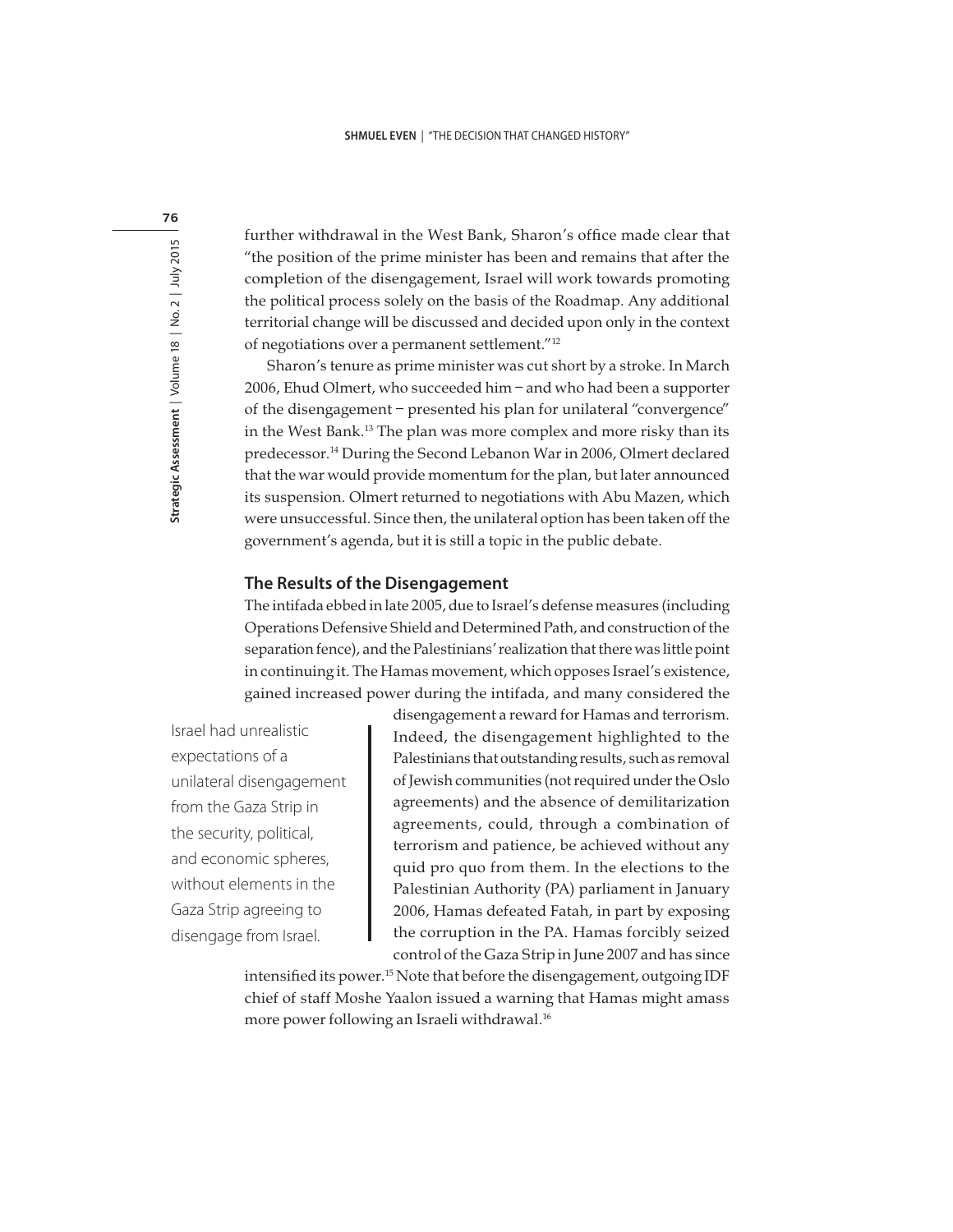76

further withdrawal in the West Bank, Sharon's office made clear that "the position of the prime minister has been and remains that after the completion of the disengagement, Israel will work towards promoting the political process solely on the basis of the Roadmap. Any additional territorial change will be discussed and decided upon only in the context of negotiations over a permanent settlement."<sup>12</sup>

Sharon's tenure as prime minister was cut short by a stroke. In March 2006, Ehud Olmert, who succeeded him – and who had been a supporter of the disengagement – presented his plan for unilateral "convergence" in the West Bank.<sup>13</sup> The plan was more complex and more risky than its predecessor.<sup>14</sup> During the Second Lebanon War in 2006, Olmert declared that the war would provide momentum for the plan, but later announced its suspension. Olmert returned to negotiations with Abu Mazen, which were unsuccessful. Since then, the unilateral option has been taken off the government's agenda, but it is still a topic in the public debate.

### **The Results of the Disengagement**

The intifada ebbed in late 2005, due to Israel's defense measures (including Operations Defensive Shield and Determined Path, and construction of the separation fence), and the Palestinians' realization that there was little point in continuing it. The Hamas movement, which opposes Israel's existence, gained increased power during the intifada, and many considered the

Israel had unrealistic expectations of a unilateral disengagement from the Gaza Strip in the security, political, and economic spheres, without elements in the Gaza Strip agreeing to disengage from Israel.

disengagement a reward for Hamas and terrorism. Indeed, the disengagement highlighted to the Palestinians that outstanding results, such as removal of Jewish communities (not required under the Oslo agreements) and the absence of demilitarization agreements, could, through a combination of terrorism and patience, be achieved without any quid pro quo from them. In the elections to the Palestinian Authority (PA) parliament in January 2006, Hamas defeated Fatah, in part by exposing the corruption in the PA. Hamas forcibly seized control of the Gaza Strip in June 2007 and has since

intensified its power.<sup>15</sup> Note that before the disengagement, outgoing IDF chief of staff Moshe Yaalon issued a warning that Hamas might amass more power following an Israeli withdrawal.<sup>16</sup>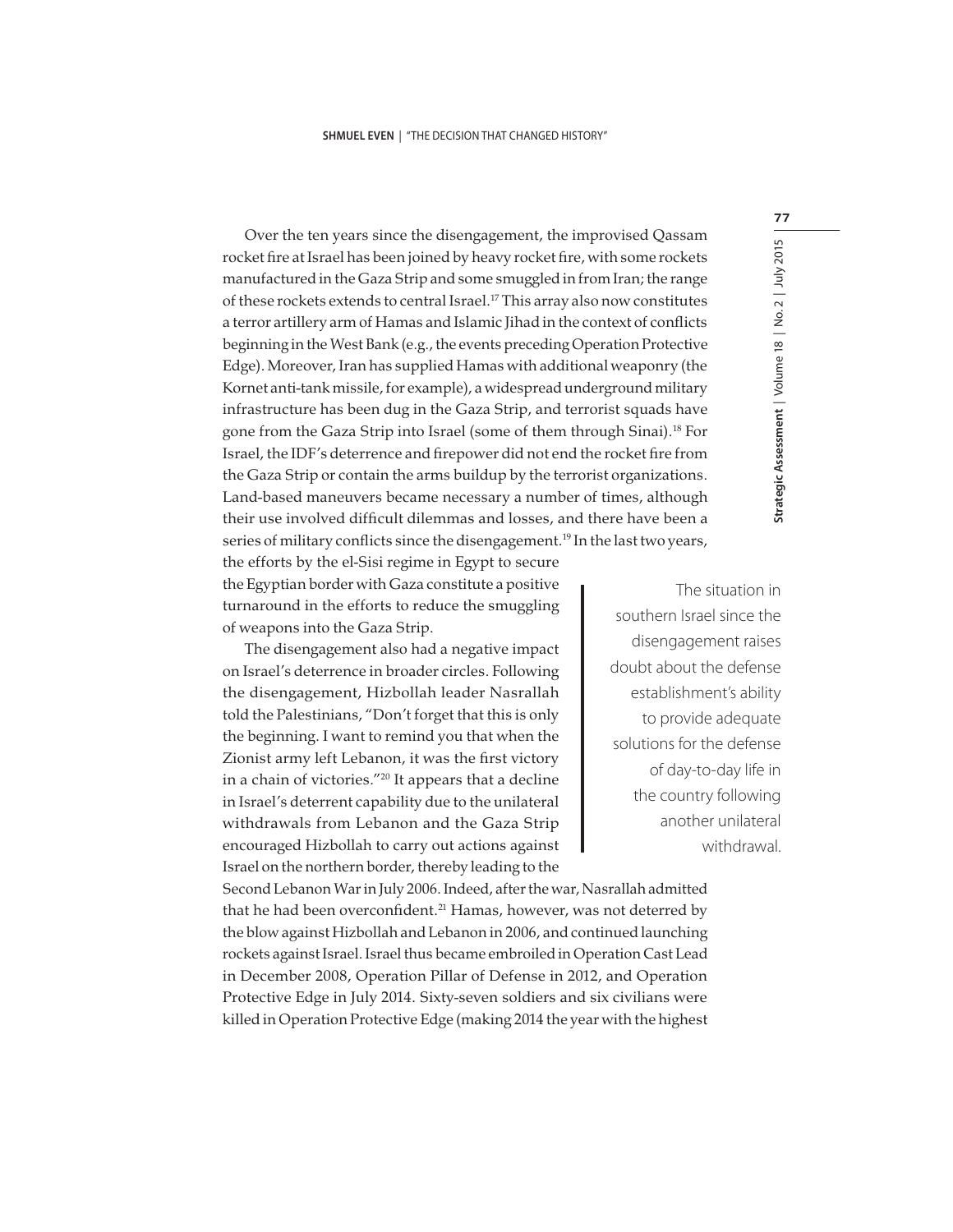Over the ten years since the disengagement, the improvised Qassam rocket fire at Israel has been joined by heavy rocket fire, with some rockets manufactured in the Gaza Strip and some smuggled in from Iran; the range of these rockets extends to central Israel.<sup>17</sup> This array also now constitutes a terror artillery arm of Hamas and Islamic Jihad in the context of conflicts beginning in the West Bank (e.g., the events preceding Operation Protective Edge). Moreover, Iran has supplied Hamas with additional weaponry (the Kornet anti-tank missile, for example), a widespread underground military infrastructure has been dug in the Gaza Strip, and terrorist squads have gone from the Gaza Strip into Israel (some of them through Sinai).<sup>18</sup> For Israel, the IDF's deterrence and firepower did not end the rocket fire from the Gaza Strip or contain the arms buildup by the terrorist organizations. Land-based maneuvers became necessary a number of times, although their use involved difficult dilemmas and losses, and there have been a series of military conflicts since the disengagement. <sup>19</sup> In the last two years,

the efforts by the el-Sisi regime in Egypt to secure the Egyptian border with Gaza constitute a positive turnaround in the efforts to reduce the smuggling of weapons into the Gaza Strip.

The disengagement also had a negative impact on Israel's deterrence in broader circles. Following the disengagement, Hizbollah leader Nasrallah told the Palestinians, "Don't forget that this is only the beginning. I want to remind you that when the Zionist army left Lebanon, it was the first victory in a chain of victories."<sup>20</sup> It appears that a decline in Israel's deterrent capability due to the unilateral withdrawals from Lebanon and the Gaza Strip encouraged Hizbollah to carry out actions against Israel on the northern border, thereby leading to the

The situation in southern Israel since the disengagement raises doubt about the defense establishment's ability to provide adequate solutions for the defense of day-to-day life in the country following another unilateral withdrawal.

Second Lebanon War in July 2006. Indeed, after the war, Nasrallah admitted that he had been overconfident.<sup>21</sup> Hamas, however, was not deterred by the blow against Hizbollah and Lebanon in 2006, and continued launching rockets against Israel. Israel thus became embroiled in Operation Cast Lead in December 2008, Operation Pillar of Defense in 2012, and Operation Protective Edge in July 2014. Sixty-seven soldiers and six civilians were killed in Operation Protective Edge (making 2014 the year with the highest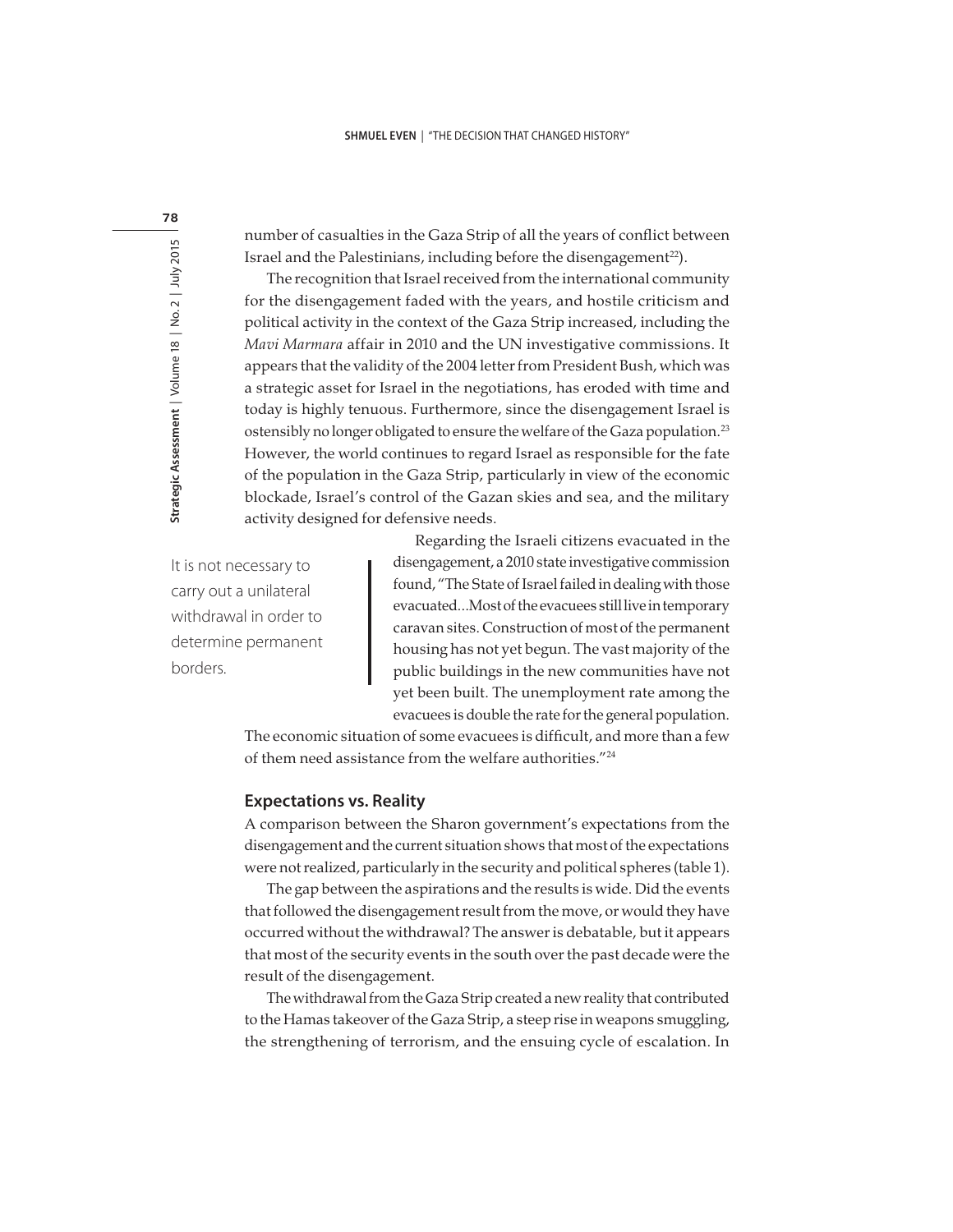number of casualties in the Gaza Strip of all the years of conflict between Israel and the Palestinians, including before the disengagement<sup>22</sup>).

The recognition that Israel received from the international community for the disengagement faded with the years, and hostile criticism and political activity in the context of the Gaza Strip increased, including the Mavi Marmara affair in 2010 and the UN investigative commissions. It appears that the validity of the 2004 letter from President Bush, which was a strategic asset for Israel in the negotiations, has eroded with time and today is highly tenuous. Furthermore, since the disengagement Israel is ostensibly no longer obligated to ensure the welfare of the Gaza population.<sup>23</sup> However, the world continues to regard Israel as responsible for the fate of the population in the Gaza Strip, particularly in view of the economic blockade, Israel's control of the Gazan skies and sea, and the military activity designed for defensive needs.

It is not necessary to carry out a unilateral withdrawal in order to determine permanent borders.

Regarding the Israeli citizens evacuated in the disengagement, a 2010 state investigative commission found, "The State of Israel failed in dealing with those evacuated…Most of the evacuees still live in temporary caravan sites. Construction of most of the permanent housing has not yet begun. The vast majority of the public buildings in the new communities have not yet been built. The unemployment rate among the evacuees is double the rate for the general population.

The economic situation of some evacuees is difficult, and more than a few of them need assistance from the welfare authorities."<sup>24</sup>

#### **Expectations vs. Reality**

A comparison between the Sharon government's expectations from the disengagement and the current situation shows that most of the expectations were not realized, particularly in the security and political spheres (table 1).

The gap between the aspirations and the results is wide. Did the events that followed the disengagement result from the move, or would they have occurred without the withdrawal? The answer is debatable, but it appears that most of the security events in the south over the past decade were the result of the disengagement.

The withdrawal from the Gaza Strip created a new reality that contributed to the Hamas takeover of the Gaza Strip, a steep rise in weapons smuggling, the strengthening of terrorism, and the ensuing cycle of escalation. In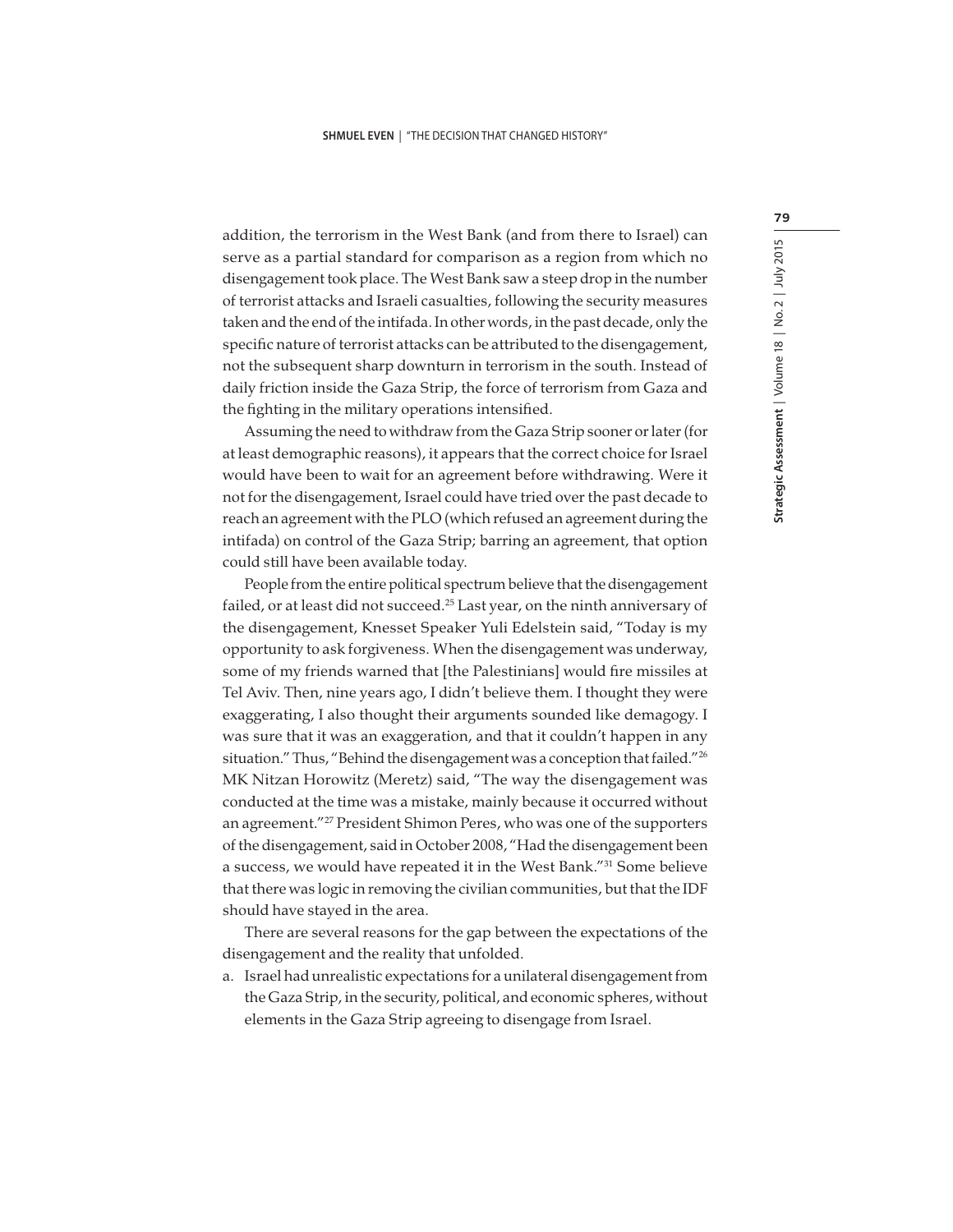addition, the terrorism in the West Bank (and from there to Israel) can serve as a partial standard for comparison as a region from which no disengagement took place. The West Bank saw a steep drop in the number of terrorist attacks and Israeli casualties, following the security measures taken and the end of the intifada. In other words, in the past decade, only the specific nature of terrorist attacks can be attributed to the disengagement, not the subsequent sharp downturn in terrorism in the south. Instead of daily friction inside the Gaza Strip, the force of terrorism from Gaza and the fighting in the military operations intensified.

Assuming the need to withdraw from the Gaza Strip sooner or later (for at least demographic reasons), it appears that the correct choice for Israel would have been to wait for an agreement before withdrawing. Were it not for the disengagement, Israel could have tried over the past decade to reach an agreement with the PLO (which refused an agreement during the intifada) on control of the Gaza Strip; barring an agreement, that option could still have been available today.

People from the entire political spectrum believe that the disengagement failed, or at least did not succeed.<sup>25</sup> Last year, on the ninth anniversary of the disengagement, Knesset Speaker Yuli Edelstein said, "Today is my opportunity to ask forgiveness. When the disengagement was underway, some of my friends warned that [the Palestinians] would fire missiles at Tel Aviv. Then, nine years ago, I didn't believe them. I thought they were exaggerating, I also thought their arguments sounded like demagogy. I was sure that it was an exaggeration, and that it couldn't happen in any situation." Thus, "Behind the disengagement was a conception that failed."<sup>26</sup> MK Nitzan Horowitz (Meretz) said, "The way the disengagement was conducted at the time was a mistake, mainly because it occurred without an agreement."<sup>27</sup> President Shimon Peres, who was one of the supporters of the disengagement, said in October 2008, "Had the disengagement been a success, we would have repeated it in the West Bank."<sup>31</sup> Some believe that there was logic in removing the civilian communities, but that the IDF should have stayed in the area.

There are several reasons for the gap between the expectations of the disengagement and the reality that unfolded.

a. Israel had unrealistic expectations for a unilateral disengagement from the Gaza Strip, in the security, political, and economic spheres, without elements in the Gaza Strip agreeing to disengage from Israel.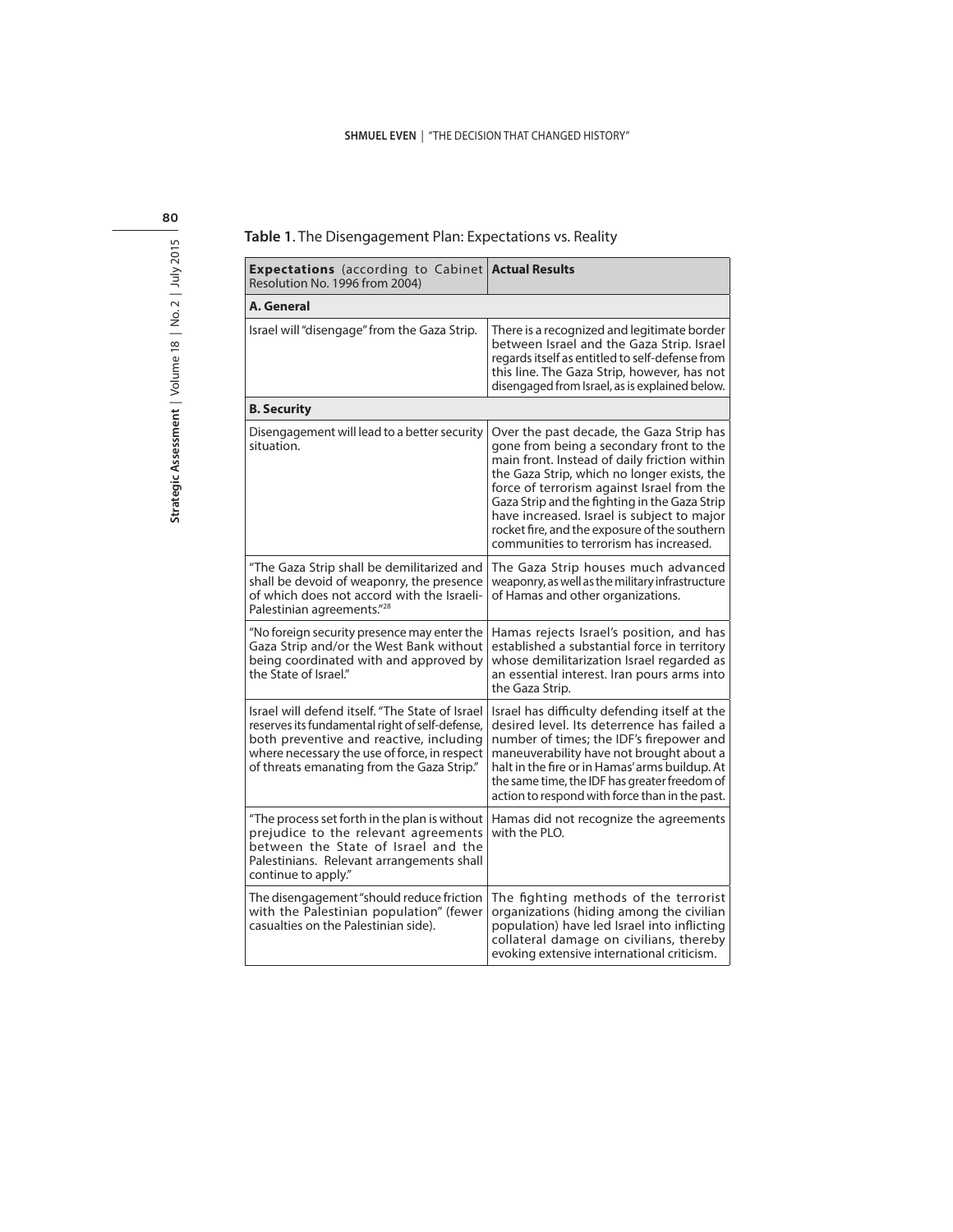#### **SHMUEL EVEN** | "THE DECISION THAT CHANGED HISTORY"

| 80                         |
|----------------------------|
| $5 - 4 =$<br><u>י</u><br>ì |
| Į<br>C                     |
| $\overline{a}$             |
|                            |
| í                          |

| <b>Expectations</b> (according to Cabinet)<br>Resolution No. 1996 from 2004)                                                                                                                                                                | <b>Actual Results</b>                                                                                                                                                                                                                                                                                                                                                                                                        |
|---------------------------------------------------------------------------------------------------------------------------------------------------------------------------------------------------------------------------------------------|------------------------------------------------------------------------------------------------------------------------------------------------------------------------------------------------------------------------------------------------------------------------------------------------------------------------------------------------------------------------------------------------------------------------------|
| A. General                                                                                                                                                                                                                                  |                                                                                                                                                                                                                                                                                                                                                                                                                              |
| Israel will "disengage" from the Gaza Strip.                                                                                                                                                                                                | There is a recognized and legitimate border<br>between Israel and the Gaza Strip. Israel<br>regards itself as entitled to self-defense from<br>this line. The Gaza Strip, however, has not<br>disengaged from Israel, as is explained below.                                                                                                                                                                                 |
| <b>B.</b> Security                                                                                                                                                                                                                          |                                                                                                                                                                                                                                                                                                                                                                                                                              |
| Disengagement will lead to a better security<br>situation.                                                                                                                                                                                  | Over the past decade, the Gaza Strip has<br>gone from being a secondary front to the<br>main front. Instead of daily friction within<br>the Gaza Strip, which no longer exists, the<br>force of terrorism against Israel from the<br>Gaza Strip and the fighting in the Gaza Strip<br>have increased. Israel is subject to major<br>rocket fire, and the exposure of the southern<br>communities to terrorism has increased. |
| "The Gaza Strip shall be demilitarized and<br>shall be devoid of weaponry, the presence<br>of which does not accord with the Israeli-<br>Palestinian agreements." <sup>28</sup>                                                             | The Gaza Strip houses much advanced<br>weaponry, as well as the military infrastructure<br>of Hamas and other organizations.                                                                                                                                                                                                                                                                                                 |
| "No foreign security presence may enter the<br>Gaza Strip and/or the West Bank without<br>being coordinated with and approved by<br>the State of Israel."                                                                                   | Hamas rejects Israel's position, and has<br>established a substantial force in territory<br>whose demilitarization Israel regarded as<br>an essential interest. Iran pours arms into<br>the Gaza Strip.                                                                                                                                                                                                                      |
| Israel will defend itself. "The State of Israel<br>reserves its fundamental right of self-defense,<br>both preventive and reactive, including<br>where necessary the use of force, in respect<br>of threats emanating from the Gaza Strip." | Israel has difficulty defending itself at the<br>desired level. Its deterrence has failed a<br>number of times; the IDF's firepower and<br>maneuverability have not brought about a<br>halt in the fire or in Hamas' arms buildup. At<br>the same time, the IDF has greater freedom of<br>action to respond with force than in the past.                                                                                     |
| "The process set forth in the plan is without<br>prejudice to the relevant agreements<br>between the State of Israel and the<br>Palestinians. Relevant arrangements shall<br>continue to apply."                                            | Hamas did not recognize the agreements<br>with the PLO.                                                                                                                                                                                                                                                                                                                                                                      |
| The disengagement "should reduce friction<br>with the Palestinian population" (fewer<br>casualties on the Palestinian side).                                                                                                                | The fighting methods of the terrorist<br>organizations (hiding among the civilian<br>population) have led Israel into inflicting<br>collateral damage on civilians, thereby<br>evoking extensive international criticism.                                                                                                                                                                                                    |

#### **Table 1**. The Disengagement Plan: Expectations vs. Reality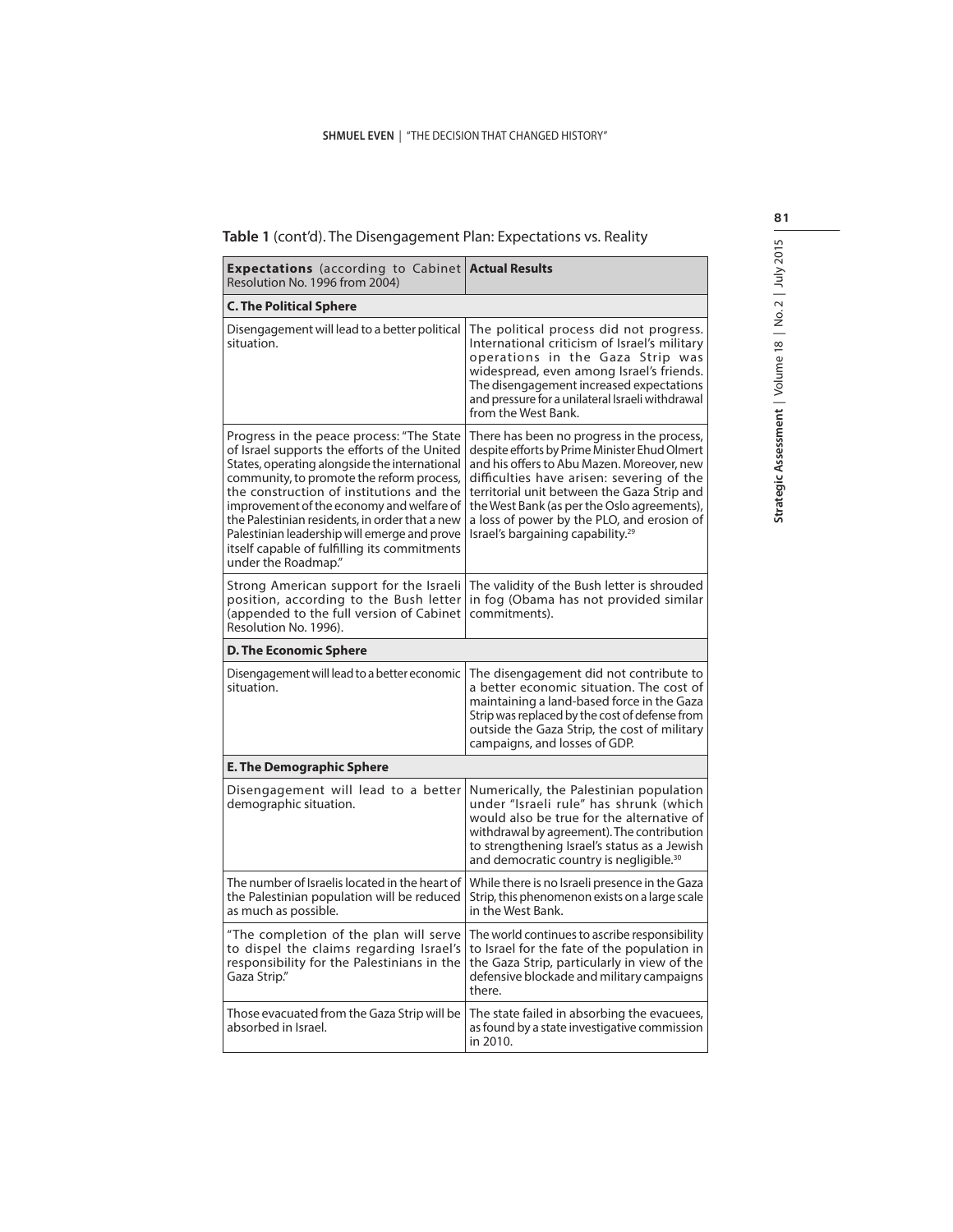|  |  |  |  | <b>Table 1</b> (cont'd). The Disengagement Plan: Expectations vs. Reality |  |
|--|--|--|--|---------------------------------------------------------------------------|--|
|--|--|--|--|---------------------------------------------------------------------------|--|

| <b>Expectations</b> (according to Cabinet)<br>Resolution No. 1996 from 2004)                                                                                                                                                                                                                                                                                                                                                                              | <b>Actual Results</b>                                                                                                                                                                                                                                                                                                                                                               |  |  |  |  |
|-----------------------------------------------------------------------------------------------------------------------------------------------------------------------------------------------------------------------------------------------------------------------------------------------------------------------------------------------------------------------------------------------------------------------------------------------------------|-------------------------------------------------------------------------------------------------------------------------------------------------------------------------------------------------------------------------------------------------------------------------------------------------------------------------------------------------------------------------------------|--|--|--|--|
| <b>C. The Political Sphere</b>                                                                                                                                                                                                                                                                                                                                                                                                                            |                                                                                                                                                                                                                                                                                                                                                                                     |  |  |  |  |
| Disengagement will lead to a better political<br>situation.                                                                                                                                                                                                                                                                                                                                                                                               | The political process did not progress.<br>International criticism of Israel's military<br>operations in the Gaza Strip was<br>widespread, even among Israel's friends.<br>The disengagement increased expectations<br>and pressure for a unilateral Israeli withdrawal<br>from the West Bank.                                                                                      |  |  |  |  |
| Progress in the peace process: "The State<br>of Israel supports the efforts of the United<br>States, operating alongside the international<br>community, to promote the reform process,<br>the construction of institutions and the<br>improvement of the economy and welfare of<br>the Palestinian residents, in order that a new<br>Palestinian leadership will emerge and prove<br>itself capable of fulfilling its commitments<br>under the Roadmap." | There has been no progress in the process,<br>despite efforts by Prime Minister Ehud Olmert<br>and his offers to Abu Mazen. Moreover, new<br>difficulties have arisen: severing of the<br>territorial unit between the Gaza Strip and<br>the West Bank (as per the Oslo agreements),<br>a loss of power by the PLO, and erosion of<br>Israel's bargaining capability. <sup>29</sup> |  |  |  |  |
| Strong American support for the Israeli<br>position, according to the Bush letter<br>(appended to the full version of Cabinet<br>Resolution No. 1996).                                                                                                                                                                                                                                                                                                    | The validity of the Bush letter is shrouded<br>in fog (Obama has not provided similar<br>commitments).                                                                                                                                                                                                                                                                              |  |  |  |  |
| <b>D. The Economic Sphere</b>                                                                                                                                                                                                                                                                                                                                                                                                                             |                                                                                                                                                                                                                                                                                                                                                                                     |  |  |  |  |
| Disengagement will lead to a better economic<br>situation.                                                                                                                                                                                                                                                                                                                                                                                                | The disengagement did not contribute to<br>a better economic situation. The cost of<br>maintaining a land-based force in the Gaza<br>Strip was replaced by the cost of defense from<br>outside the Gaza Strip, the cost of military<br>campaigns, and losses of GDP.                                                                                                                |  |  |  |  |
| <b>E. The Demographic Sphere</b>                                                                                                                                                                                                                                                                                                                                                                                                                          |                                                                                                                                                                                                                                                                                                                                                                                     |  |  |  |  |
| Disengagement will lead to a better<br>demographic situation.                                                                                                                                                                                                                                                                                                                                                                                             | Numerically, the Palestinian population<br>under "Israeli rule" has shrunk (which<br>would also be true for the alternative of<br>withdrawal by agreement). The contribution<br>to strengthening Israel's status as a Jewish<br>and democratic country is negligible. <sup>30</sup>                                                                                                 |  |  |  |  |
| The number of Israelis located in the heart of<br>the Palestinian population will be reduced<br>as much as possible.                                                                                                                                                                                                                                                                                                                                      | While there is no Israeli presence in the Gaza<br>Strip, this phenomenon exists on a large scale<br>in the West Bank.                                                                                                                                                                                                                                                               |  |  |  |  |
| "The completion of the plan will serve<br>to dispel the claims regarding Israel's<br>responsibility for the Palestinians in the<br>Gaza Strip."                                                                                                                                                                                                                                                                                                           | The world continues to ascribe responsibility<br>to Israel for the fate of the population in<br>the Gaza Strip, particularly in view of the<br>defensive blockade and military campaigns<br>there.                                                                                                                                                                                  |  |  |  |  |
| Those evacuated from the Gaza Strip will be<br>absorbed in Israel.                                                                                                                                                                                                                                                                                                                                                                                        | The state failed in absorbing the evacuees,<br>as found by a state investigative commission<br>in 2010.                                                                                                                                                                                                                                                                             |  |  |  |  |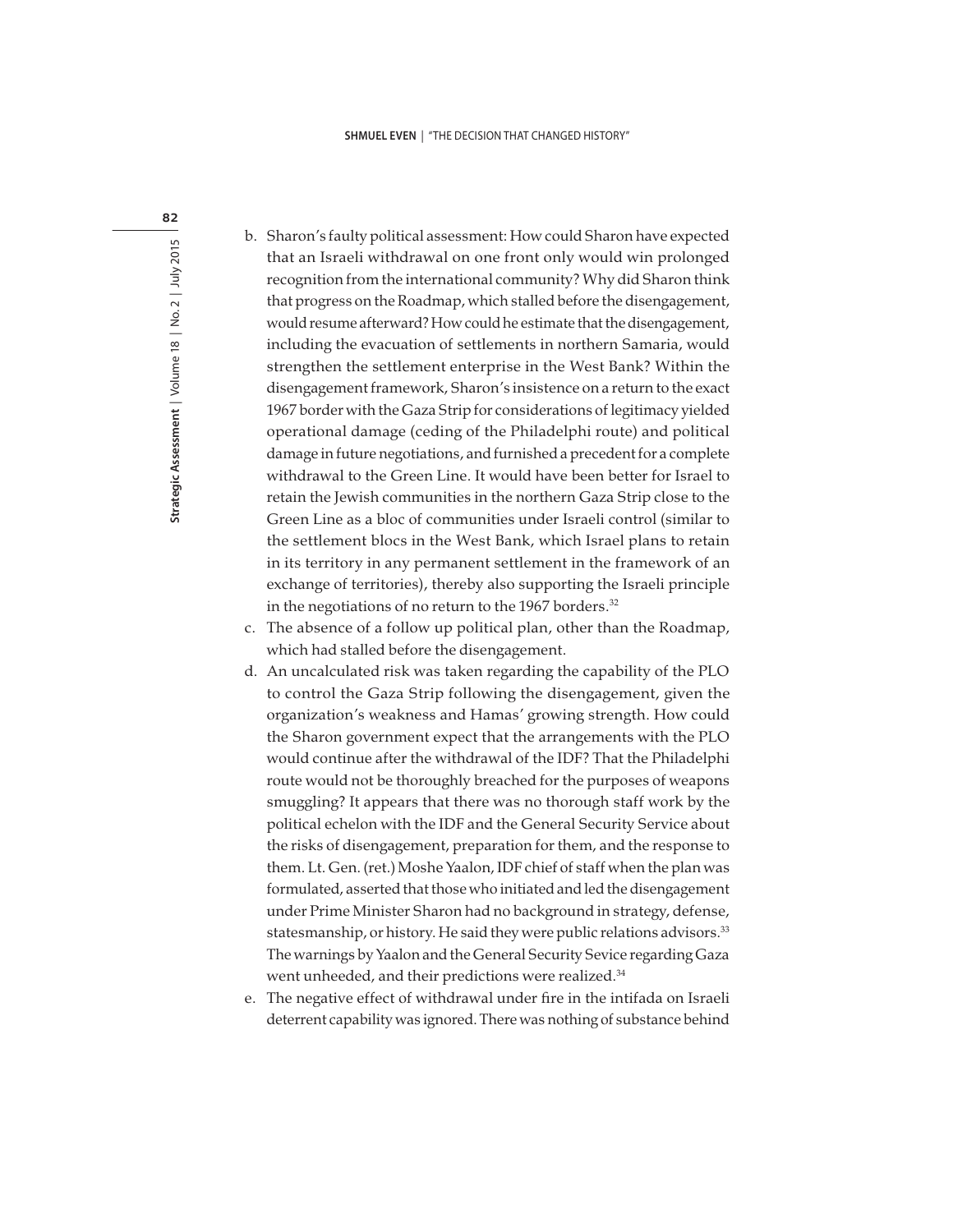#### **SHMUEL EVEN** | "THE DECISION THAT CHANGED HISTORY"

- b. Sharon's faulty political assessment: How could Sharon have expected that an Israeli withdrawal on one front only would win prolonged recognition from the international community? Why did Sharon think that progress on the Roadmap, which stalled before the disengagement, would resume afterward? How could he estimate that the disengagement, including the evacuation of settlements in northern Samaria, would strengthen the settlement enterprise in the West Bank? Within the disengagement framework, Sharon's insistence on a return to the exact 1967 border with the Gaza Strip for considerations of legitimacy yielded operational damage (ceding of the Philadelphi route) and political damage in future negotiations, and furnished a precedent for a complete withdrawal to the Green Line. It would have been better for Israel to retain the Jewish communities in the northern Gaza Strip close to the Green Line as a bloc of communities under Israeli control (similar to the settlement blocs in the West Bank, which Israel plans to retain in its territory in any permanent settlement in the framework of an exchange of territories), thereby also supporting the Israeli principle in the negotiations of no return to the 1967 borders.<sup>32</sup>
- c. The absence of a follow up political plan, other than the Roadmap, which had stalled before the disengagement.
- d. An uncalculated risk was taken regarding the capability of the PLO to control the Gaza Strip following the disengagement, given the organization's weakness and Hamas' growing strength. How could the Sharon government expect that the arrangements with the PLO would continue after the withdrawal of the IDF? That the Philadelphi route would not be thoroughly breached for the purposes of weapons smuggling? It appears that there was no thorough staff work by the political echelon with the IDF and the General Security Service about the risks of disengagement, preparation for them, and the response to them. Lt. Gen. (ret.) Moshe Yaalon, IDF chief of staff when the plan was formulated, asserted that those who initiated and led the disengagement under Prime Minister Sharon had no background in strategy, defense, statesmanship, or history. He said they were public relations advisors.<sup>33</sup> The warnings by Yaalon and the General Security Sevice regarding Gaza went unheeded, and their predictions were realized.<sup>34</sup>
- e. The negative effect of withdrawal under fire in the intifada on Israeli deterrent capability was ignored. There was nothing of substance behind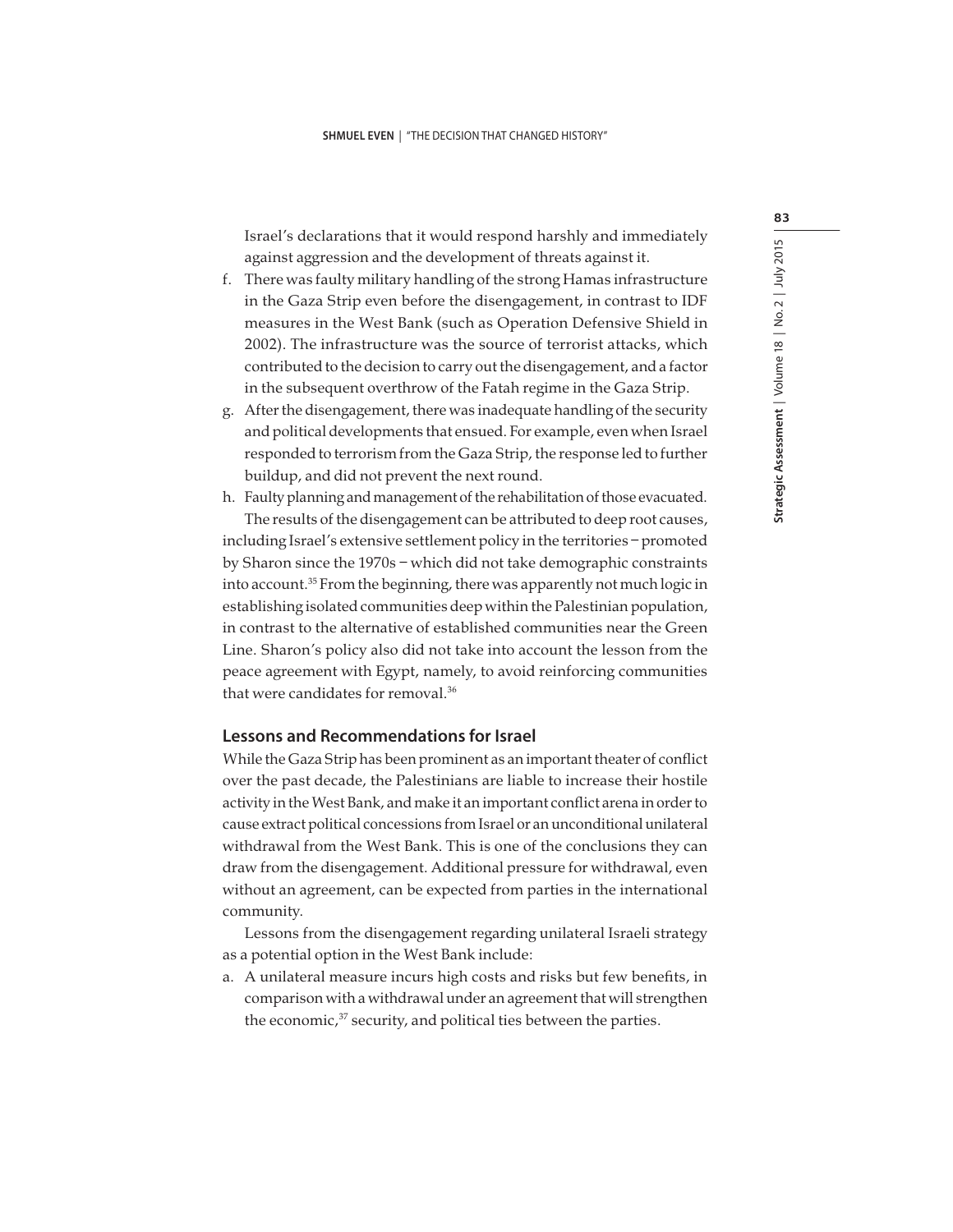Israel's declarations that it would respond harshly and immediately against aggression and the development of threats against it.

- f. There was faulty military handling of the strong Hamas infrastructure in the Gaza Strip even before the disengagement, in contrast to IDF measures in the West Bank (such as Operation Defensive Shield in 2002). The infrastructure was the source of terrorist attacks, which contributed to the decision to carry out the disengagement, and a factor in the subsequent overthrow of the Fatah regime in the Gaza Strip.
- g. After the disengagement, there was inadequate handling of the security and political developments that ensued. For example, even when Israel responded to terrorism from the Gaza Strip, the response led to further buildup, and did not prevent the next round.
- h. Faulty planning and management of the rehabilitation of those evacuated. The results of the disengagement can be attributed to deep root causes, including Israel's extensive settlement policy in the territories – promoted by Sharon since the 1970s – which did not take demographic constraints into account.<sup>35</sup> From the beginning, there was apparently not much logic in establishing isolated communities deep within the Palestinian population, in contrast to the alternative of established communities near the Green Line. Sharon's policy also did not take into account the lesson from the peace agreement with Egypt, namely, to avoid reinforcing communities that were candidates for removal.<sup>36</sup>

## **Lessons and Recommendations for Israel**

While the Gaza Strip has been prominent as an important theater of conflict over the past decade, the Palestinians are liable to increase their hostile activity in the West Bank, and make it an important conflict arena in order to cause extract political concessions from Israel or an unconditional unilateral withdrawal from the West Bank. This is one of the conclusions they can draw from the disengagement. Additional pressure for withdrawal, even without an agreement, can be expected from parties in the international community.

Lessons from the disengagement regarding unilateral Israeli strategy as a potential option in the West Bank include:

a. A unilateral measure incurs high costs and risks but few benefits, in comparison with a withdrawal under an agreement that will strengthen the economic,<sup>37</sup> security, and political ties between the parties.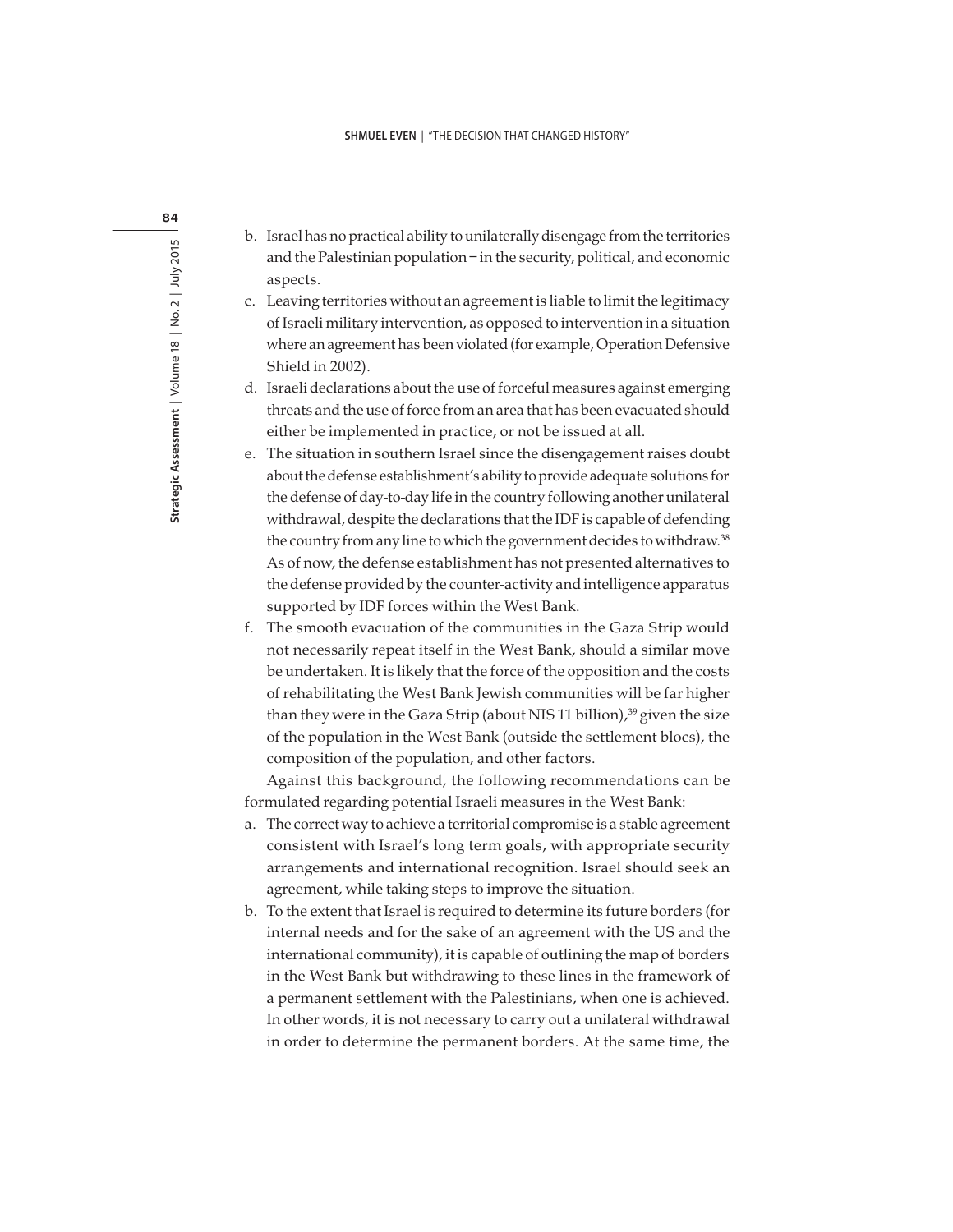- b. Israel has no practical ability to unilaterally disengage from the territories and the Palestinian population – in the security, political, and economic aspects.
- c. Leaving territories without an agreement is liable to limit the legitimacy of Israeli military intervention, as opposed to intervention in a situation where an agreement has been violated (for example, Operation Defensive Shield in 2002).
- d. Israeli declarations about the use of forceful measures against emerging threats and the use of force from an area that has been evacuated should either be implemented in practice, or not be issued at all.
- e. The situation in southern Israel since the disengagement raises doubt about the defense establishment's ability to provide adequate solutions for the defense of day-to-day life in the country following another unilateral withdrawal, despite the declarations that the IDF is capable of defending the country from any line to which the government decides to withdraw.<sup>38</sup> As of now, the defense establishment has not presented alternatives to the defense provided by the counter-activity and intelligence apparatus supported by IDF forces within the West Bank.
- f. The smooth evacuation of the communities in the Gaza Strip would not necessarily repeat itself in the West Bank, should a similar move be undertaken. It is likely that the force of the opposition and the costs of rehabilitating the West Bank Jewish communities will be far higher than they were in the Gaza Strip (about NIS 11 billion),<sup>39</sup> given the size of the population in the West Bank (outside the settlement blocs), the composition of the population, and other factors.

Against this background, the following recommendations can be formulated regarding potential Israeli measures in the West Bank:

- a. The correct way to achieve a territorial compromise is a stable agreement consistent with Israel's long term goals, with appropriate security arrangements and international recognition. Israel should seek an agreement, while taking steps to improve the situation.
- b. To the extent that Israel is required to determine its future borders (for internal needs and for the sake of an agreement with the US and the international community), it is capable of outlining the map of borders in the West Bank but withdrawing to these lines in the framework of a permanent settlement with the Palestinians, when one is achieved. In other words, it is not necessary to carry out a unilateral withdrawal in order to determine the permanent borders. At the same time, the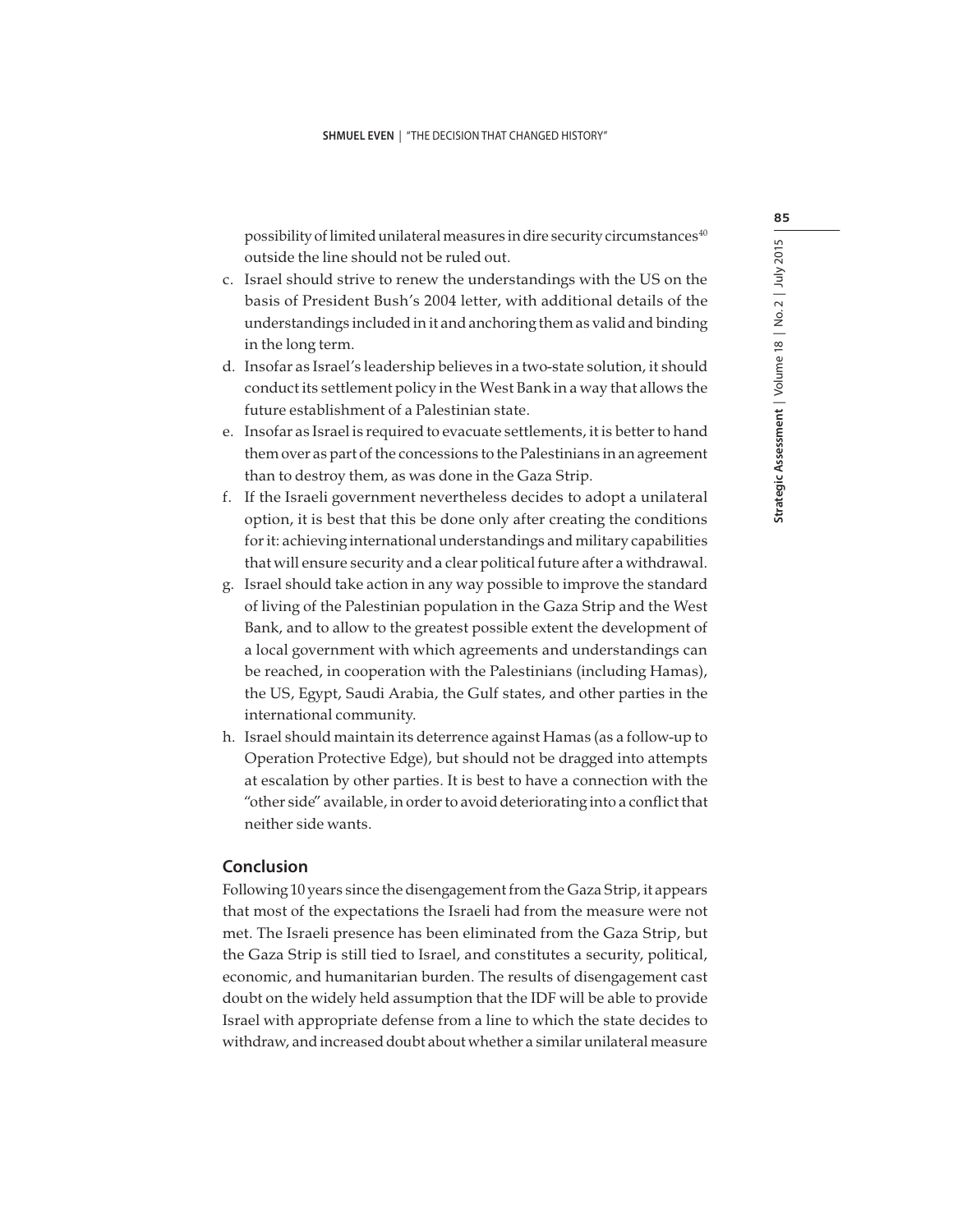possibility of limited unilateral measures in dire security circumstances<sup>40</sup> outside the line should not be ruled out.

- c. Israel should strive to renew the understandings with the US on the basis of President Bush's 2004 letter, with additional details of the understandings included in it and anchoring them as valid and binding in the long term.
- d. Insofar as Israel's leadership believes in a two-state solution, it should conduct its settlement policy in the West Bank in a way that allows the future establishment of a Palestinian state.
- e. Insofar as Israel is required to evacuate settlements, it is better to hand them over as part of the concessions to the Palestinians in an agreement than to destroy them, as was done in the Gaza Strip.
- f. If the Israeli government nevertheless decides to adopt a unilateral option, it is best that this be done only after creating the conditions for it: achieving international understandings and military capabilities that will ensure security and a clear political future after a withdrawal.
- g. Israel should take action in any way possible to improve the standard of living of the Palestinian population in the Gaza Strip and the West Bank, and to allow to the greatest possible extent the development of a local government with which agreements and understandings can be reached, in cooperation with the Palestinians (including Hamas), the US, Egypt, Saudi Arabia, the Gulf states, and other parties in the international community.
- h. Israel should maintain its deterrence against Hamas (as a follow-up to Operation Protective Edge), but should not be dragged into attempts at escalation by other parties. It is best to have a connection with the "other side" available, in order to avoid deteriorating into a conflict that neither side wants.

## **Conclusion**

Following 10 years since the disengagement from the Gaza Strip, it appears that most of the expectations the Israeli had from the measure were not met. The Israeli presence has been eliminated from the Gaza Strip, but the Gaza Strip is still tied to Israel, and constitutes a security, political, economic, and humanitarian burden. The results of disengagement cast doubt on the widely held assumption that the IDF will be able to provide Israel with appropriate defense from a line to which the state decides to withdraw, and increased doubt about whether a similar unilateral measure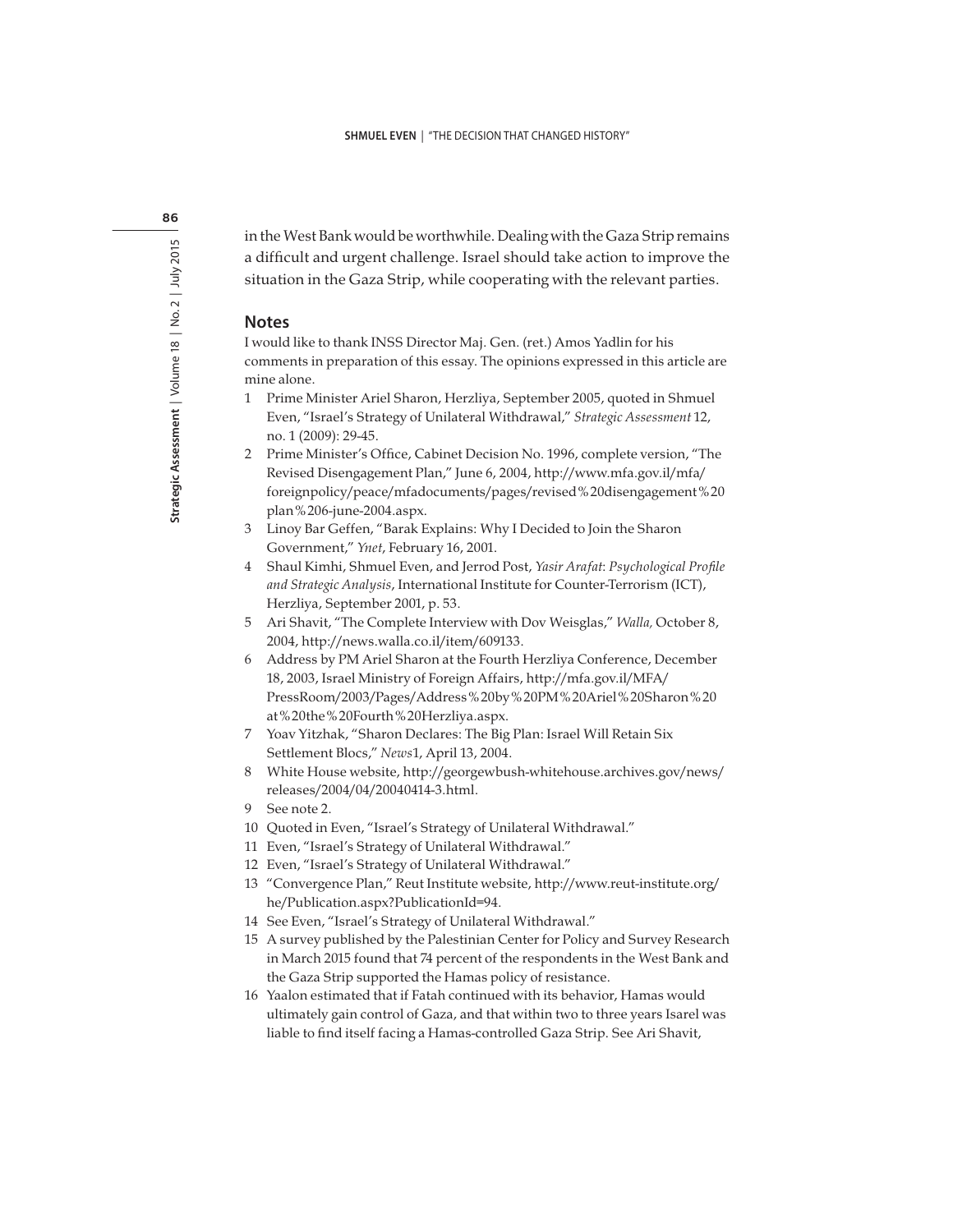in the West Bank would be worthwhile. Dealing with the Gaza Strip remains a difficult and urgent challenge. Israel should take action to improve the situation in the Gaza Strip, while cooperating with the relevant parties.

#### **Notes**

I would like to thank INSS Director Maj. Gen. (ret.) Amos Yadlin for his comments in preparation of this essay. The opinions expressed in this article are mine alone.

1 Prime Minister Ariel Sharon, Herzliya, September 2005, quoted in Shmuel Even, "Israel's Strategy of Unilateral Withdrawal," Strategic Assessment 12, no. 1 (2009): 29-45.

2 Prime Minister's Office, Cabinet Decision No. 1996, complete version, "The Revised Disengagement Plan," June 6, 2004, http://www.mfa.gov.il/mfa/ foreignpolicy/peace/mfadocuments/pages/revised%20disengagement%20 plan%206-june-2004.aspx.

- 3 Linoy Bar Geffen, "Barak Explains: Why I Decided to Join the Sharon Government," Ynet, February 16, 2001.
- 4 Shaul Kimhi, Shmuel Even, and Jerrod Post, Yasir Arafat: Psychological Profile and Strategic Analysis, International Institute for Counter-Terrorism (ICT), Herzliya, September 2001, p. 53.
- 5 Ari Shavit, "The Complete Interview with Dov Weisglas," Walla, October 8, 2004, http://news.walla.co.il/item/609133.
- 6 Address by PM Ariel Sharon at the Fourth Herzliya Conference, December 18, 2003, Israel Ministry of Foreign Affairs, http://mfa.gov.il/MFA/ PressRoom/2003/Pages/Address%20by%20PM%20Ariel%20Sharon%20 at%20the%20Fourth%20Herzliya.aspx.
- 7 Yoav Yitzhak, "Sharon Declares: The Big Plan: Israel Will Retain Six Settlement Blocs," News1, April 13, 2004.
- 8 White House website, http://georgewbush-whitehouse.archives.gov/news/ releases/2004/04/20040414-3.html.
- 9 See note 2.
- 10 Quoted in Even, "Israel's Strategy of Unilateral Withdrawal."
- 11 Even, "Israel's Strategy of Unilateral Withdrawal."
- 12 Even, "Israel's Strategy of Unilateral Withdrawal."
- 13 "Convergence Plan," Reut Institute website, http://www.reut-institute.org/ he/Publication.aspx?PublicationId=94.
- 14 See Even, "Israel's Strategy of Unilateral Withdrawal."
- 15 A survey published by the Palestinian Center for Policy and Survey Research in March 2015 found that 74 percent of the respondents in the West Bank and the Gaza Strip supported the Hamas policy of resistance.
- 16 Yaalon estimated that if Fatah continued with its behavior, Hamas would ultimately gain control of Gaza, and that within two to three years Isarel was liable to find itself facing a Hamas-controlled Gaza Strip. See Ari Shavit,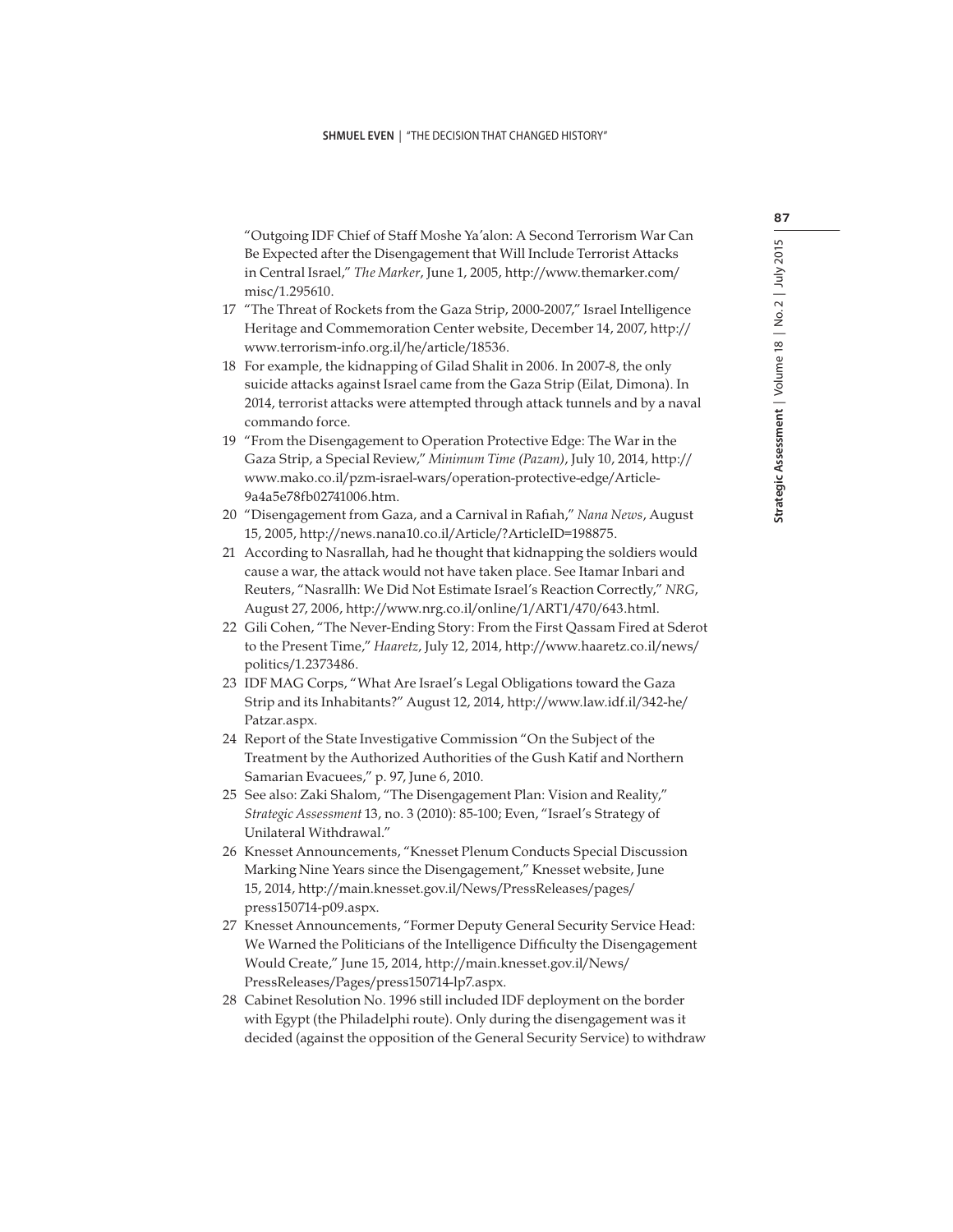"Outgoing IDF Chief of Staff Moshe Ya'alon: A Second Terrorism War Can Be Expected after the Disengagement that Will Include Terrorist Attacks in Central Israel," The Marker, June 1, 2005, http://www.themarker.com/ misc/1.295610.

- 17 "The Threat of Rockets from the Gaza Strip, 2000-2007," Israel Intelligence Heritage and Commemoration Center website, December 14, 2007, http:// www.terrorism-info.org.il/he/article/18536.
- 18 For example, the kidnapping of Gilad Shalit in 2006. In 2007-8, the only suicide attacks against Israel came from the Gaza Strip (Eilat, Dimona). In 2014, terrorist attacks were attempted through attack tunnels and by a naval commando force.
- 19 "From the Disengagement to Operation Protective Edge: The War in the Gaza Strip, a Special Review," Minimum Time (Pazam), July 10, 2014, http:// www.mako.co.il/pzm-israel-wars/operation-protective-edge/Article-9a4a5e78fb02741006.htm.
- 20 "Disengagement from Gaza, and a Carnival in Rafiah," Nana News, August 15, 2005, http://news.nana10.co.il/Article/?ArticleID=198875.
- 21 According to Nasrallah, had he thought that kidnapping the soldiers would cause a war, the attack would not have taken place. See Itamar Inbari and Reuters, "Nasrallh: We Did Not Estimate Israel's Reaction Correctly," NRG, August 27, 2006, http://www.nrg.co.il/online/1/ART1/470/643.html.
- 22 Gili Cohen, "The Never-Ending Story: From the First Qassam Fired at Sderot to the Present Time," Haaretz, July 12, 2014, http://www.haaretz.co.il/news/ politics/1.2373486.
- 23 IDF MAG Corps, "What Are Israel's Legal Obligations toward the Gaza Strip and its Inhabitants?" August 12, 2014, http://www.law.idf.il/342-he/ Patzar.aspx.
- 24 Report of the State Investigative Commission "On the Subject of the Treatment by the Authorized Authorities of the Gush Katif and Northern Samarian Evacuees," p. 97, June 6, 2010.
- 25 See also: Zaki Shalom, "The Disengagement Plan: Vision and Reality," Strategic Assessment 13, no. 3 (2010): 85-100; Even, "Israel's Strategy of Unilateral Withdrawal."
- 26 Knesset Announcements, "Knesset Plenum Conducts Special Discussion Marking Nine Years since the Disengagement," Knesset website, June 15, 2014, http://main.knesset.gov.il/News/PressReleases/pages/ press150714-p09.aspx.
- 27 Knesset Announcements, "Former Deputy General Security Service Head: We Warned the Politicians of the Intelligence Difficulty the Disengagement Would Create," June 15, 2014, http://main.knesset.gov.il/News/ PressReleases/Pages/press150714-lp7.aspx.
- 28 Cabinet Resolution No. 1996 still included IDF deployment on the border with Egypt (the Philadelphi route). Only during the disengagement was it decided (against the opposition of the General Security Service) to withdraw